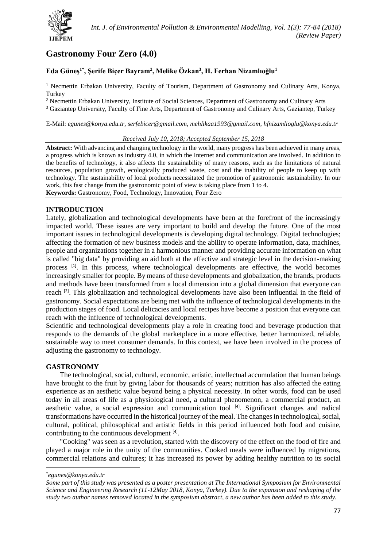

# **Gastronomy Four Zero (4.0)**

# **Eda Güneş1\* , Şerife Biçer Bayram<sup>2</sup> , Melike Özkan<sup>3</sup> , H. Ferhan Nizamlıoğlu<sup>1</sup>**

<sup>1</sup> Necmettin Erbakan University, Faculty of Tourism, Department of Gastronomy and Culinary Arts, Konya, Turkey

<sup>2</sup> Necmettin Erbakan University, Institute of Social Sciences, Department of Gastronomy and Culinary Arts

<sup>3</sup> Gaziantep University, Faculty of Fine Arts, Department of Gastronomy and Culinary Arts, Gaziantep, Turkey

E-Mail: *[egunes@konya.edu.tr,](mailto:egunes@konya.edu.tr) [serfebicer@gmail.com,](mailto:serfebicer@gmail.com) [mehlikaa1993@gmail.com,](mailto:mehlikaa1993@gmail.com) [hfnizamlioglu@konya.edu.tr](mailto:hfnizamlioglu@konya.edu.tr)*

#### *Received July 10, 2018; Accepted September 15, 2018*

**Abstract:** With advancing and changing technology in the world, many progress has been achieved in many areas, a progress which is known as industry 4.0, in which the Internet and communication are involved. In addition to the benefits of technology, it also affects the sustainability of many reasons, such as the limitations of natural resources, population growth, ecologically produced waste, cost and the inability of people to keep up with technology. The sustainability of local products necessitated the promotion of gastronomic sustainability. In our work, this fast change from the gastronomic point of view is taking place from 1 to 4. **Keywords:** Gastronomy, Food, Technology, Innovation, Four Zero

# **INTRODUCTION**

Lately, globalization and technological developments have been at the forefront of the increasingly impacted world. These issues are very important to build and develop the future. One of the most important issues in technological developments is developing digital technology. Digital technologies; affecting the formation of new business models and the ability to operate information, data, machines, people and organizations together in a harmonious manner and providing accurate information on what is called "big data" by providing an aid both at the effective and strategic level in the decision-making process <sup>[1]</sup>. In this process, where technological developments are effective, the world becomes increasingly smaller for people. By means of these developments and globalization, the brands, products and methods have been transformed from a local dimension into a global dimension that everyone can reach <sup>[2]</sup>. This globalization and technological developments have also been influential in the field of gastronomy. Social expectations are being met with the influence of technological developments in the production stages of food. Local delicacies and local recipes have become a position that everyone can reach with the influence of technological developments.

Scientific and technological developments play a role in creating food and beverage production that responds to the demands of the global marketplace in a more effective, better harmonized, reliable, sustainable way to meet consumer demands. In this context, we have been involved in the process of adjusting the gastronomy to technology.

# **GASTRONOMY**

The technological, social, cultural, economic, artistic, intellectual accumulation that human beings have brought to the fruit by giving labor for thousands of years; nutrition has also affected the eating experience as an aesthetic value beyond being a physical necessity. In other words, food can be used today in all areas of life as a physiological need, a cultural phenomenon, a commercial product, an aesthetic value, a social expression and communication tool<sup>[4]</sup>. Significant changes and radical transformations have occurred in the historical journey of the meal. The changes in technological, social, cultural, political, philosophical and artistic fields in this period influenced both food and cuisine, contributing to the continuous development [4].

"Cooking" was seen as a revolution, started with the discovery of the effect on the food of fire and played a major role in the unity of the communities. Cooked meals were influenced by migrations, commercial relations and cultures; It has increased its power by adding healthy nutrition to its social

**.** 

<sup>\*</sup> *egunes@konya.edu.tr*

*Some part of this study was presented as a poster presentation at The International Symposium for Environmental Science and Engineering Research (11-12May 2018, Konya, Turkey). Due to the expansion and reshaping of the study two author names removed located in the symposium abstract, a new author has been added to this study.*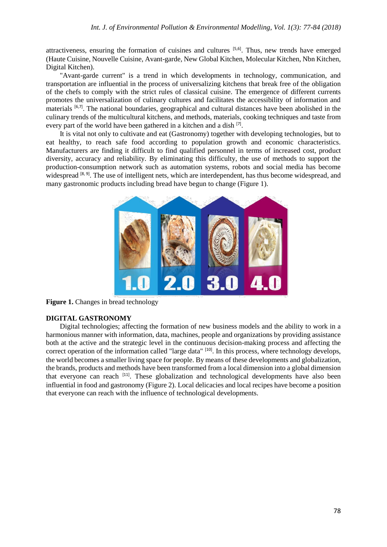attractiveness, ensuring the formation of cuisines and cultures [5,6]. Thus, new trends have emerged (Haute Cuisine, Nouvelle Cuisine, Avant-garde, New Global Kitchen, Molecular Kitchen, Nbn Kitchen, Digital Kitchen).

"Avant-garde current" is a trend in which developments in technology, communication, and transportation are influential in the process of universalizing kitchens that break free of the obligation of the chefs to comply with the strict rules of classical cuisine. The emergence of different currents promotes the universalization of culinary cultures and facilitates the accessibility of information and materials <sup>[6,7]</sup>. The national boundaries, geographical and cultural distances have been abolished in the culinary trends of the multicultural kitchens, and methods, materials, cooking techniques and taste from every part of the world have been gathered in a kitchen and a dish <sup>[7]</sup>.

It is vital not only to cultivate and eat (Gastronomy) together with developing technologies, but to eat healthy, to reach safe food according to population growth and economic characteristics. Manufacturers are finding it difficult to find qualified personnel in terms of increased cost, product diversity, accuracy and reliability. By eliminating this difficulty, the use of methods to support the production-consumption network such as automation systems, robots and social media has become widespread [8, 9]. The use of intelligent nets, which are interdependent, has thus become widespread, and many gastronomic products including bread have begun to change (Figure 1).



**Figure 1.** Changes in bread technology

# **DIGITAL GASTRONOMY**

Digital technologies; affecting the formation of new business models and the ability to work in a harmonious manner with information, data, machines, people and organizations by providing assistance both at the active and the strategic level in the continuous decision-making process and affecting the correct operation of the information called "large data" <sup>[10]</sup>. In this process, where technology develops, the world becomes a smaller living space for people. By means of these developments and globalization, the brands, products and methods have been transformed from a local dimension into a global dimension that everyone can reach [11]. These globalization and technological developments have also been influential in food and gastronomy (Figure 2). Local delicacies and local recipes have become a position that everyone can reach with the influence of technological developments.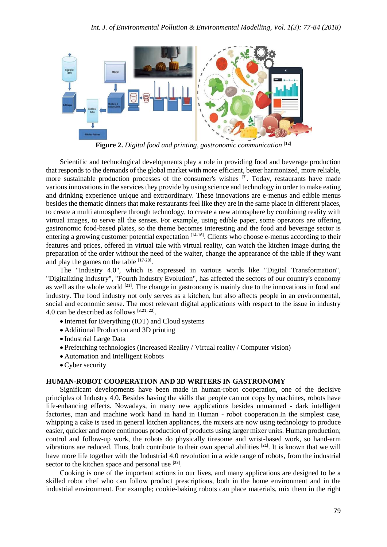

**Figure 2.** *Digital food and printing, gastronomic communication* [12]

Scientific and technological developments play a role in providing food and beverage production that responds to the demands of the global market with more efficient, better harmonized, more reliable, more sustainable production processes of the consumer's wishes <sup>[3]</sup>. Today, restaurants have made various innovations in the services they provide by using science and technology in order to make eating and drinking experience unique and extraordinary. These innovations are e-menus and edible menus besides the thematic dinners that make restaurants feel like they are in the same place in different places, to create a multi atmosphere through technology, to create a new atmosphere by combining reality with virtual images, to serve all the senses. For example, using edible paper, some operators are offering gastronomic food-based plates, so the theme becomes interesting and the food and beverage sector is entering a growing customer potential expectation <sup>[14-16]</sup>. Clients who choose e-menus according to their features and prices, offered in virtual tale with virtual reality, can watch the kitchen image during the preparation of the order without the need of the waiter, change the appearance of the table if they want and play the games on the table [17-20].

The "Industry 4.0", which is expressed in various words like "Digital Transformation", "Digitalizing Industry", "Fourth Industry Evolution", has affected the sectors of our country's economy as well as the whole world <sup>[21]</sup>. The change in gastronomy is mainly due to the innovations in food and industry. The food industry not only serves as a kitchen, but also affects people in an environmental, social and economic sense. The most relevant digital applications with respect to the issue in industry 4.0 can be described as follows  $[3,21, 22]$ .

- Internet for Everything (IOT) and Cloud systems
- Additional Production and 3D printing
- Industrial Large Data
- Prefetching technologies (Increased Reality / Virtual reality / Computer vision)
- Automation and Intelligent Robots
- Cyber security

### **HUMAN-ROBOT COOPERATION AND 3D WRITERS IN GASTRONOMY**

Significant developments have been made in human-robot cooperation, one of the decisive principles of Industry 4.0. Besides having the skills that people can not copy by machines, robots have life-enhancing effects. Nowadays, in many new applications besides unmanned - dark intelligent factories, man and machine work hand in hand in Human - robot cooperation.In the simplest case, whipping a cake is used in general kitchen appliances, the mixers are now using technology to produce easier, quicker and more continuous production of products using larger mixer units. Human production; control and follow-up work, the robots do physically tiresome and wrist-based work, so hand-arm vibrations are reduced. Thus, both contribute to their own special abilities  $[21]$ . It is known that we will have more life together with the Industrial 4.0 revolution in a wide range of robots, from the industrial sector to the kitchen space and personal use <sup>[23]</sup>.

Cooking is one of the important actions in our lives, and many applications are designed to be a skilled robot chef who can follow product prescriptions, both in the home environment and in the industrial environment. For example; cookie-baking robots can place materials, mix them in the right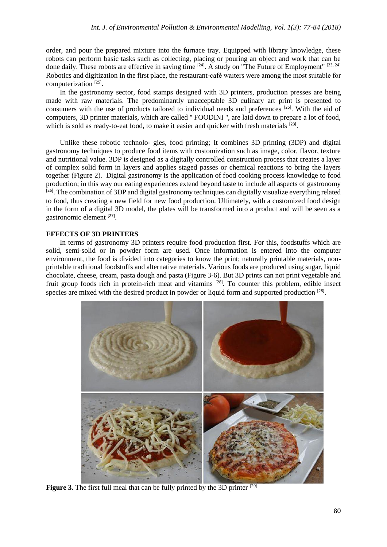order, and pour the prepared mixture into the furnace tray. Equipped with library knowledge, these robots can perform basic tasks such as collecting, placing or pouring an object and work that can be done daily. These robots are effective in saving time <sup>[24]</sup>. A study on "The Future of Employment" <sup>[23, 24]</sup> Robotics and digitization In the first place, the restaurant-café waiters were among the most suitable for computerization<sup>[25]</sup>.

In the gastronomy sector, food stamps designed with 3D printers, production presses are being made with raw materials. The predominantly unacceptable 3D culinary art print is presented to consumers with the use of products tailored to individual needs and preferences [25] . With the aid of computers, 3D printer materials, which are called '' FOODINI '', are laid down to prepare a lot of food, which is sold as ready-to-eat food, to make it easier and quicker with fresh materials [23].

Unlike these robotic technolo- gies, food printing; It combines 3D printing (3DP) and digital gastronomy techniques to produce food items with customization such as image, color, flavor, texture and nutritional value. 3DP is designed as a digitally controlled construction process that creates a layer of complex solid form in layers and applies staged passes or chemical reactions to bring the layers together (Figure 2). Digital gastronomy is the application of food cooking process knowledge to food production; in this way our eating experiences extend beyond taste to include all aspects of gastronomy <sup>[26]</sup>. The combination of 3DP and digital gastronomy techniques can digitally visualize everything related to food, thus creating a new field for new food production. Ultimately, with a customized food design in the form of a digital 3D model, the plates will be transformed into a product and will be seen as a gastronomic element [27].

#### **EFFECTS OF 3D PRINTERS**

In terms of gastronomy 3D printers require food production first. For this, foodstuffs which are solid, semi-solid or in powder form are used. Once information is entered into the computer environment, the food is divided into categories to know the print; naturally printable materials, nonprintable traditional foodstuffs and alternative materials. Various foods are produced using sugar, liquid chocolate, cheese, cream, pasta dough and pasta (Figure 3-6). But 3D prints can not print vegetable and fruit group foods rich in protein-rich meat and vitamins [28]. To counter this problem, edible insect species are mixed with the desired product in powder or liquid form and supported production [28].



**Figure 3.** The first full meal that can be fully printed by the 3D printer <sup>[29]</sup>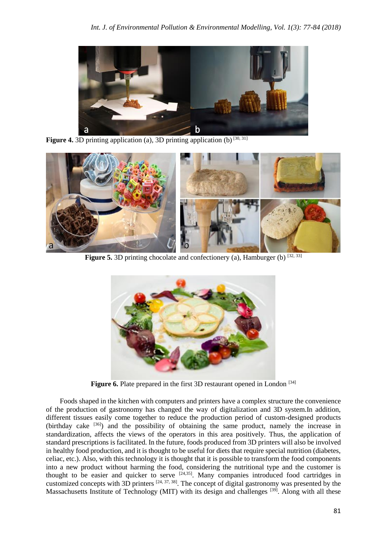

**Figure 4.** 3D printing application (a), 3D printing application (b) [30, 31]



**Figure 5.** 3D printing chocolate and confectionery (a), Hamburger (b)  $[32, 33]$ 



Figure 6. Plate prepared in the first 3D restaurant opened in London<sup>[34]</sup>

Foods shaped in the kitchen with computers and printers have a complex structure the convenience of the production of gastronomy has changed the way of digitalization and 3D system.In addition, different tissues easily come together to reduce the production period of custom-designed products (birthday cake [36]) and the possibility of obtaining the same product, namely the increase in standardization, affects the views of the operators in this area positively. Thus, the application of standard prescriptions is facilitated. In the future, foods produced from 3D printers will also be involved in healthy food production, and it is thought to be useful for diets that require special nutrition (diabetes, celiac, etc.). Also, with this technology it is thought that it is possible to transform the food components into a new product without harming the food, considering the nutritional type and the customer is thought to be easier and quicker to serve  $[24,35]$ . Many companies introduced food cartridges in customized concepts with 3D printers  $[24, 37, 38]$ . The concept of digital gastronomy was presented by the Massachusetts Institute of Technology (MIT) with its design and challenges <sup>[39]</sup>. Along with all these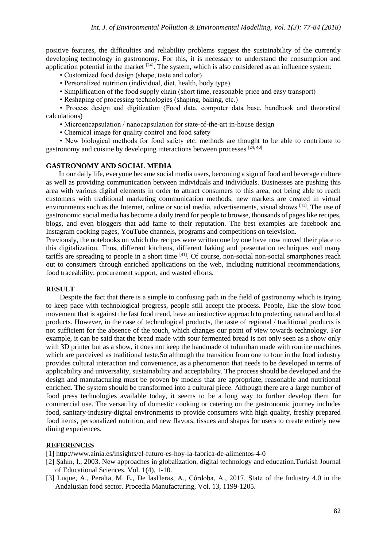positive features, the difficulties and reliability problems suggest the sustainability of the currently developing technology in gastronomy. For this, it is necessary to understand the consumption and application potential in the market  $[24]$ . The system, which is also considered as an influence system:

- Customized food design (shape, taste and color)
- Personalized nutrition (individual, diet, health, body type)
- Simplification of the food supply chain (short time, reasonable price and easy transport)
- Reshaping of processing technologies (shaping, baking, etc.)

• Process design and digitization (Food data, computer data base, handbook and theoretical calculations)

• Microencapsulation / nanocapsulation for state-of-the-art in-house design

• Chemical image for quality control and food safety

• New biological methods for food safety etc. methods are thought to be able to contribute to gastronomy and cuisine by developing interactions between processes [24, 40].

#### **GASTRONOMY AND SOCIAL MEDIA**

In our daily life, everyone became social media users, becoming a sign of food and beverage culture as well as providing communication between individuals and individuals. Businesses are pushing this area with various digital elements in order to attract consumers to this area, not being able to reach customers with traditional marketing communication methods; new markets are created in virtual environments such as the Internet, online or social media, advertisements, visual shows [41]. The use of gastronomic social media has become a daily trend for people to browse, thousands of pages like recipes, blogs, and even bloggers that add fame to their reputation. The best examples are facebook and Instagram cooking pages, YouTube channels, programs and competitions on television.

Previously, the notebooks on which the recipes were written one by one have now moved their place to this digitalization. Thus, different kitchens, different baking and presentation techniques and many tariffs are spreading to people in a short time  $[41]$ . Of course, non-social non-social smartphones reach out to consumers through enriched applications on the web, including nutritional recommendations, food traceability, procurement support, and wasted efforts.

#### **RESULT**

Despite the fact that there is a simple to confusing path in the field of gastronomy which is trying to keep pace with technological progress, people still accept the process. People, like the slow food movement that is against the fast food trend, have an instinctive approach to protecting natural and local products. However, in the case of technological products, the taste of regional / traditional products is not sufficient for the absence of the touch, which changes our point of view towards technology. For example, it can be said that the bread made with sour fermented bread is not only seen as a show only with 3D printer but as a show, it does not keep the handmade of tulumban made with routine machines which are perceived as traditional taste.So although the transition from one to four in the food industry provides cultural interaction and convenience, as a phenomenon that needs to be developed in terms of applicability and universality, sustainability and acceptability. The process should be developed and the design and manufacturing must be proven by models that are appropriate, reasonable and nutritional enriched. The system should be transformed into a cultural piece. Although there are a large number of food press technologies available today, it seems to be a long way to further develop them for commercial use. The versatility of domestic cooking or catering on the gastronomic journey includes food, sanitary-industry-digital environments to provide consumers with high quality, freshly prepared food items, personalized nutrition, and new flavors, tissues and shapes for users to create entirely new dining experiences.

# **REFERENCES**

[1] http://www.ainia.es/insights/el-futuro-es-hoy-la-fabrica-de-alimentos-4-0

- [2] Şahin, I., 2003. New approaches in globalization, digital technology and education.Turkish Journal of Educational Sciences, Vol. 1(4), 1-10.
- [3] Luque, A., Peralta, M. E., De lasHeras, A., Córdoba, A., 2017. State of the Industry 4.0 in the Andalusian food sector. Procedia Manufacturing, Vol. 13, 1199-1205.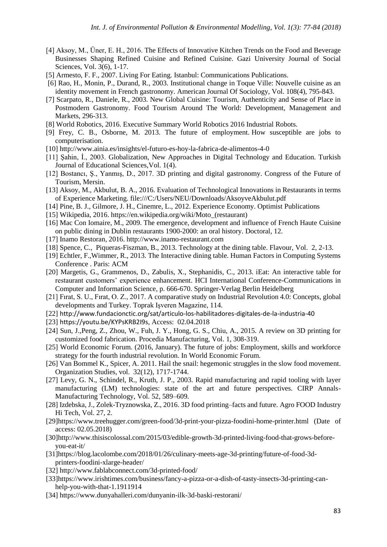- [4] Aksoy, M., Üner, E. H., 2016. The Effects of Innovative Kitchen Trends on the Food and Beverage Businesses Shaping Refined Cuisine and Refined Cuisine. Gazi University Journal of Social Sciences, Vol. 3(6), 1-17.
- [5] Armesto, F. F., 2007. Living For Eating. Istanbul: Communications Publications.
- [6] Rao, H., Monin, P., Durand, R., 2003. Institutional change in Toque Ville: Nouvelle cuisine as an identity movement in French gastronomy. American Journal Of Sociology, Vol. 108(4), 795-843.
- [7] Scarpato, R., Daniele, R., 2003. New Global Cuisine: Tourism, Authenticity and Sense of Place in Postmodern Gastronomy. Food Tourism Around The World: Development, Management and Markets, 296-313.
- [8] World Robotics, 2016. Executive Summary World Robotics 2016 Industrial Robots.
- [9] Frey, C. B., Osborne, M. 2013. The future of employment. How susceptible are jobs to computerisation.
- [10] http://www.ainia.es/insights/el-futuro-es-hoy-la-fabrica-de-alimentos-4-0
- [11] Şahin, İ., 2003. Globalization, New Approaches in Digital Technology and Education. Turkish Journal of Educational Sciences,Vol. 1(4).
- [12] Bostancı, Ş., Yanmış, D., 2017. 3D printing and digital gastronomy. Congress of the Future of Tourism, Mersin.
- [13] Aksoy, M., Akbulut, B. A., 2016. Evaluation of Technological Innovations in Restaurants in terms of Experience Marketing. file:///C:/Users/NEU/Downloads/AksoyveAkbulut.pdf
- [14] Pine, B. J., Gilmore, J. H., Cinemre, L., 2012. Experience Economy. Optimist Publications
- [15] Wikipedia, 2016. https://en.wikipedia.org/wiki/Moto\_(restaurant)
- [16] Mac Con Iomaire, M., 2009. The emergence, development and influence of French Haute Cuisine on public dining in Dublin restaurants 1900-2000: an oral history. Doctoral, 12.
- [17] Inamo Restoran, 2016. http://www.inamo-restaurant.com
- [18] Spence, C., Piqueras-Fiszman, B., 2013. Technology at the dining table. Flavour, Vol. 2, 2-13.
- [19] Echtler, F.,Wimmer, R., 2013. The Interactive dining table. Human Factors in Computing Systems Conference . Paris: ACM
- [20] Margetis, G., Grammenos, D., Zabulis, X., Stephanidis, C., 2013. iEat: An interactive table for restaurant customers' experience enhancement. HCI International Conference-Communications in Computer and Information Science, p. 666-670. Springer-Verlag Berlin Heidelberg
- [21] Fırat, S. U., Fırat, O. Z., 2017. A comparative study on Industrial Revolution 4.0: Concepts, global developments and Turkey. Toprak Işveren Magazine, 114.
- [22] <http://www.fundacionctic.org/sat/articulo-los-habilitadores-digitales-de-la-industria-40>
- [23] <https://youtu.be/KYPsKRB2I9s>, Access: 02.04.2018
- [24] Sun, J.,Peng, Z., Zhou, W., Fuh, J. Y., Hong, G. S., Chiu, A., 2015. A review on 3D printing for customized food fabrication. Procedia Manufacturing, Vol. 1, 308-319.
- [25] World Economic Forum. (2016, January). The future of jobs: Employment, skills and workforce strategy for the fourth industrial revolution. In World Economic Forum.
- [26] Van Bommel K., Spicer, A. 2011. Hail the snail: hegemonic struggles in the slow food movement. Organization Studies, vol. 32(12), 1717-1744.
- [27] Levy, G. N., Schindel, R., Kruth, J. P., 2003. Rapid manufacturing and rapid tooling with layer manufacturing (LM) technologies: state of the art and future perspectives. CIRP Annals-Manufacturing Technology, Vol. 52, 589–609.
- [28] Izdebska, J., Zolek-Tryznowska, Z., 2016. 3D food printing–facts and future. Agro FOOD Industry Hi Tech, Vol. 27, 2.
- [29[\]https://www.treehugger.com/green-food/3d-print-your-pizza-foodini-home-printer.html](https://www.treehugger.com/green-food/3d-print-your-pizza-foodini-home-printer.html) (Date of access: 02.05.2018)
- [30[\]http://www.thisiscolossal.com/2015/03/edible-growth-3d-printed-living-food-that-grows-before](http://www.thisiscolossal.com/2015/03/edible-growth-3d-printed-living-food-that-grows-before-you-eat-it/)[you-eat-it/](http://www.thisiscolossal.com/2015/03/edible-growth-3d-printed-living-food-that-grows-before-you-eat-it/)
- [31[\]https://blog.lacolombe.com/2018/01/26/culinary-meets-age-3d-printing/future-of-food-3d](https://blog.lacolombe.com/2018/01/26/culinary-meets-age-3d-printing/future-of-food-3d-printers-foodini-xlarge-header/)[printers-foodini-xlarge-header/](https://blog.lacolombe.com/2018/01/26/culinary-meets-age-3d-printing/future-of-food-3d-printers-foodini-xlarge-header/)
- [32]<http://www.fablabconnect.com/3d-printed-food/>
- [33[\]https://www.irishtimes.com/business/fancy-a-pizza-or-a-dish-of-tasty-insects-3d-printing-can](https://www.irishtimes.com/business/fancy-a-pizza-or-a-dish-of-tasty-insects-3d-printing-can-help-you-with-that-1.1911914)[help-you-with-that-1.1911914](https://www.irishtimes.com/business/fancy-a-pizza-or-a-dish-of-tasty-insects-3d-printing-can-help-you-with-that-1.1911914)
- [34]<https://www.dunyahalleri.com/dunyanin-ilk-3d-baski-restorani/>